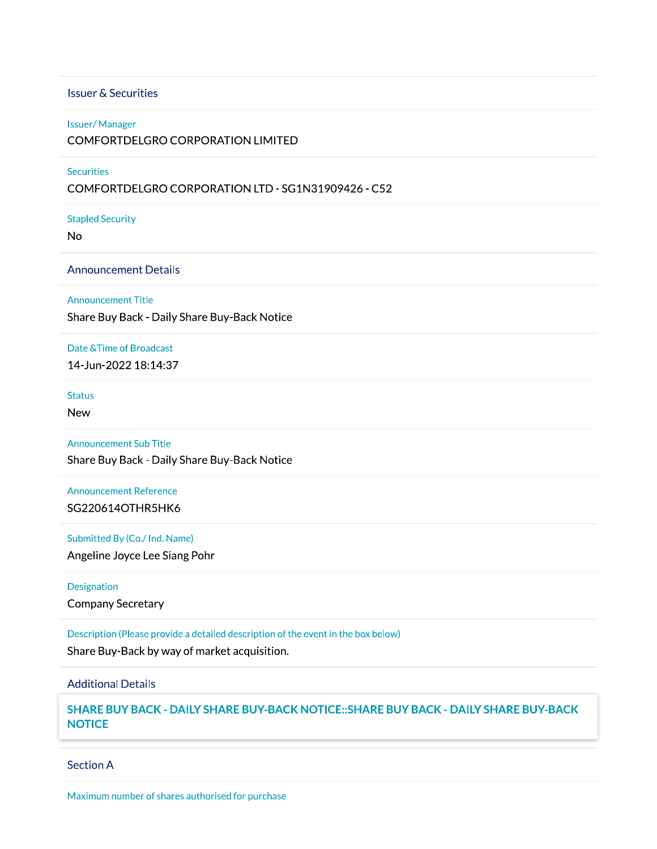### **Issuer & Securities**

#### **Issuer/Manager**

#### COMFORTDELGRO CORPORATION LIMITED

## **Securities**

## COMFORTDELGRO CORPORATION LTD - SG1N31909426 - C52

**Stapled Security** 

**No** 

#### **Announcement Details**

### **Announcement Title**

Share Buy Back - Daily Share Buy-Back Notice

# Date & Time of Broadcast

14-Jun-2022 18:14:37

## **Status**

**New** 

#### **Announcement Sub Title**

Share Buy Back - Daily Share Buy-Back Notice

## **Announcement Reference**

SG220614OTHR5HK6

## Submitted By (Co./ Ind. Name)

Angeline Joyce Lee Siang Pohr

## Designation

**Company Secretary** 

Description (Please provide a detailed description of the event in the box below)

Share Buy-Back by way of market acquisition.

## **Additional Details**

SHARE BUY BACK - DAILY SHARE BUY-BACK NOTICE:: SHARE BUY BACK - DAILY SHARE BUY-BACK **NOTICE** 

#### **Section A**

Maximum number of shares authorised for purchase